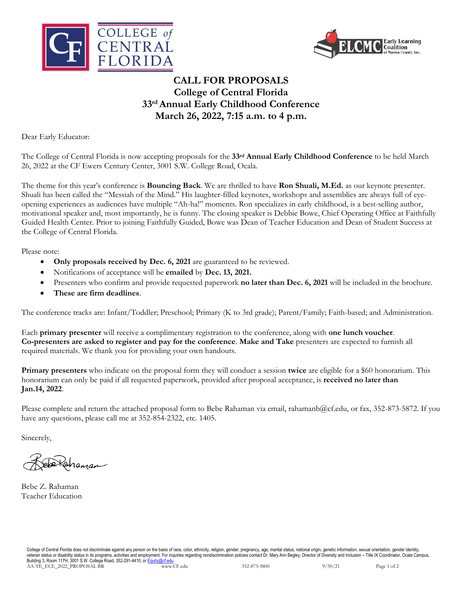



## **CALL FOR PROPOSALS College of Central Florida 33rd Annual Early Childhood Conference March 26, 2022, 7:15 a.m. to 4 p.m.**

Dear Early Educator:

The College of Central Florida is now accepting proposals for the **33rd Annual Early Childhood Conference** to be held March 26, 2022 at the CF Ewers Century Center, 3001 S.W. College Road, Ocala.

The theme for this year's conference is **Bouncing Back**. We are thrilled to have **Ron Shuali, M.Ed.** as our keynote presenter. Shuali has been called the "Messiah of the Mind." His laughter-filled keynotes, workshops and assemblies are always full of eyeopening experiences as audiences have multiple "Ah-ha!" moments. Ron specializes in early childhood, is a best-selling author, motivational speaker and, most importantly, he is funny. The closing speaker is Debbie Bowe, Chief Operating Office at Faithfully Guided Health Center. Prior to joining Faithfully Guided, Bowe was Dean of Teacher Education and Dean of Student Success at the College of Central Florida.

Please note:

- **Only proposals received by Dec. 6, 2021** are guaranteed to be reviewed.
- Notifications of acceptance will be **emailed** by **Dec. 13, 2021.**
- Presenters who confirm and provide requested paperwork **no later than Dec. 6, 2021** will be included in the brochure.
- **These are firm deadlines**.

The conference tracks are: Infant/Toddler; Preschool; Primary (K to 3rd grade); Parent/Family; Faith-based; and Administration.

Each **primary presenter** will receive a complimentary registration to the conference, along with **one lunch voucher**. **Co-presenters are asked to register and pay for the conference**. **Make and Take** presenters are expected to furnish all required materials. We thank you for providing your own handouts.

**Primary presenters** who indicate on the proposal form they will conduct a session **twice** are eligible for a \$60 honorarium. This honorarium can only be paid if all requested paperwork, provided after proposal acceptance, is **received no later than Jan.14, 2022**.

Please complete and return the attached proposal form to Bebe Rahaman via email, rahamanb@cf.edu, or fax, 352-873-5872. If you have any questions, please call me at 352-854-2322, etc. 1405.

Sincerely,

Sekenaman

Bebe Z. Rahaman Teacher Education